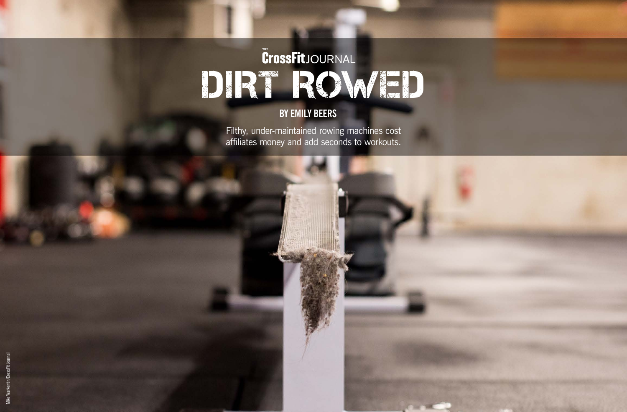

affiliates money and add seconds to workouts.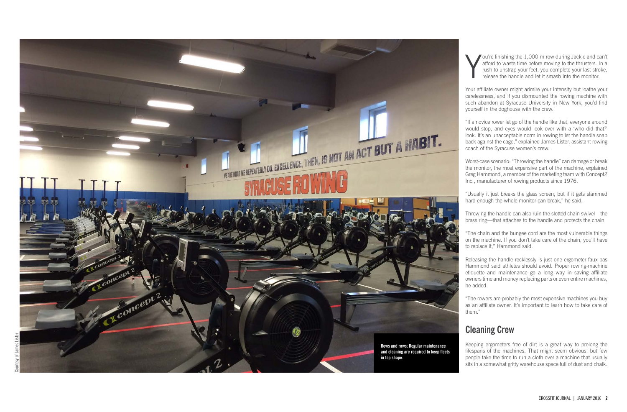Y

ou're finishing the 1,000-m row during Jackie and can't afford to waste time before moving to the thrusters. In a rush to unstrap your feet, you complete your last stroke, release the handle and let it smash into the monitor.

Your affiliate owner might admire your intensity but loathe your carelessness, and if you dismounted the rowing machine with such abandon at Syracuse University in New York, you'd find yourself in the doghouse with the crew.

"If a novice rower let go of the handle like that, everyone around would stop, and eyes would look over with a 'who did that?' look. It's an unacceptable norm in rowing to let the handle snap back against the cage," explained James Lister, assistant rowing coach of the Syracuse women's crew.

Worst-case scenario: "Throwing the handle" can damage or break the monitor, the most expensive part of the machine, explained Greg Hammond, a member of the marketing team with Concept2 Inc., manufacturer of rowing products since 1976.

"Usually it just breaks the glass screen, but if it gets slammed hard enough the whole monitor can break," he said.

Throwing the handle can also ruin the slotted chain swivel—the brass ring—that attaches to the handle and protects the chain.

"The chain and the bungee cord are the most vulnerable things on the machine. If you don't take care of the chain, you'll have to replace it," Hammond said.

Releasing the handle recklessly is just one ergometer faux pas Hammond said athletes should avoid. Proper rowing-machine etiquette and maintenance go a long way in saving affiliate owners time and money replacing parts or even entire machines, he added.

"The rowers are probably the most expensive machines you buy as an affiliate owner. It's important to learn how to take care of

them."

# **Cleaning Crew**

Keeping ergometers free of dirt is a great way to prolong the lifespans of the machines. That might seem obvious, but few people take the time to run a cloth over a machine that usually sits in a somewhat gritty warehouse space full of dust and chalk.

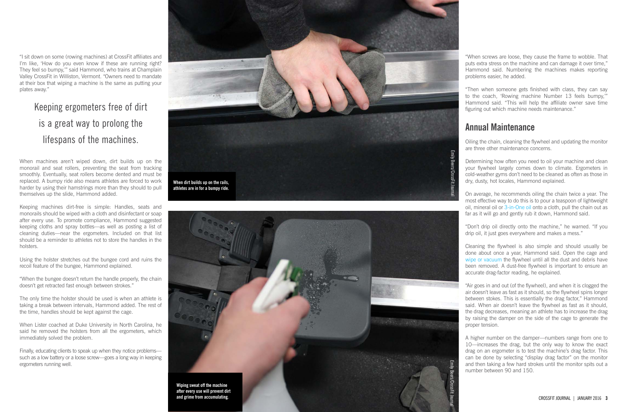"I sit down on some (rowing machines) at CrossFit affiliates and I'm like, 'How do you even know if these are running right? They feel so bumpy,'" said Hammond, who trains at Champlain Valley CrossFit in Williston, Vermont. "Owners need to mandate at their box that wiping a machine is the same as putting your plates away."

When machines aren't wiped down, dirt builds up on the monorail and seat rollers, preventing the seat from tracking smoothly. Eventually, seat rollers become dented and must be replaced. A bumpy ride also means athletes are forced to work harder by using their hamstrings more than they should to pull themselves up the slide, Hammond added.

Keeping machines dirt-free is simple: Handles, seats and monorails should be wiped with a cloth and disinfectant or soap after every use. To promote compliance, Hammond suggested keeping cloths and spray bottles—as well as posting a list of cleaning duties—near the ergometers. Included on that list should be a reminder to athletes not to store the handles in the holsters.

Using the holster stretches out the bungee cord and ruins the recoil feature of the bungee, Hammond explained.

"When the bungee doesn't return the handle properly, the chain doesn't get retracted fast enough between strokes."

The only time the holster should be used is when an athlete is taking a break between intervals, Hammond added. The rest of the time, handles should be kept against the cage.

When Lister coached at Duke University in North Carolina, he said he removed the holsters from all the ergometers, which immediately solved the problem.

Finally, educating clients to speak up when they notice problems such as a low battery or a loose screw—goes a long way in keeping ergometers running well.

"When screws are loose, they cause the frame to wobble. That puts extra stress on the machine and can damage it over time," Hammond said. Numbering the machines makes reporting problems easier, he added.

"Then when someone gets finished with class, they can say to the coach, 'Rowing machine Number 13 feels bumpy,'" Hammond said. "This will help the affiliate owner save time figuring out which machine needs maintenance."

### **Annual Maintenance**

Oiling the chain, cleaning the flywheel and updating the monitor are three other maintenance concerns.

Determining how often you need to oil your machine and clean your flywheel largely comes down to climate. Ergometers in cold-weather gyms don't need to be cleaned as often as those in dry, dusty, hot locales, Hammond explained.

On average, he recommends oiling the chain twice a year. The most effective way to do this is to pour a teaspoon of lightweight oil, mineral oil or [3-in-One oil](http://www.concept2.com/files/pdf/us/miscellaneous/MISC_MSDS_3-in-1-Oil.pdf) onto a cloth, pull the chain out as far as it will go and gently rub it down, Hammond said.

"Don't drip oil directly onto the machine," he warned. "If you drip oil, it just goes everywhere and makes a mess."

Cleaning the flywheel is also simple and should usually be done about once a year, Hammond said. Open the cage and [wipe or vacuum](http://www.concept2.com/files/pdf/us/indoor-rowers/DE_FlywheelCleaning.pdf) the flywheel until all the dust and debris have been removed. A dust-free flywheel is important to ensure an accurate drag-factor reading, he explained.

"Air goes in and out (of the flywheel), and when it is clogged the air doesn't leave as fast as it should, so the flywheel spins longer between stokes. This is essentially the drag factor," Hammond said. When air doesn't leave the flywheel as fast as it should, the drag decreases, meaning an athlete has to increase the drag by raising the damper on the side of the cage to generate the proper tension.

A higher number on the damper—numbers range from one to 10—increases the drag, but the only way to know the exact drag on an ergometer is to test the machine's drag factor. This can be done by selecting "display drag factor" on the monitor and then taking a few hard strokes until the monitor spits out a number between 90 and 150.

# Keeping ergometers free of dirt is a great way to prolong the lifespans of the machines.

Emily Beers/CrossFit Journal